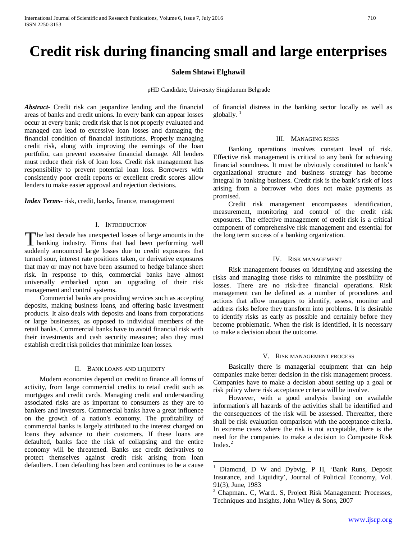# **Credit risk during financing small and large enterprises**

# **Salem Shtawi Elghawil**

pHD Candidate, University Singidunum Belgrade

*Abstract***-** Credit risk can jeopardize lending and the financial areas of banks and credit unions. In every bank can appear losses occur at every bank; credit risk that is not properly evaluated and managed can lead to excessive loan losses and damaging the financial condition of financial institutions. Properly managing credit risk, along with improving the earnings of the loan portfolio, can prevent excessive financial damage. All lenders must reduce their risk of loan loss. Credit risk management has responsibility to prevent potential loan loss. Borrowers with consistently poor credit reports or excellent credit scores allow lenders to make easier approval and rejection decisions.

*Index Terms*- risk, credit, banks, finance, management

# I. INTRODUCTION

he last decade has unexpected losses of large amounts in the The last decade has unexpected losses of large amounts in the banking industry. Firms that had been performing well suddenly announced large losses due to credit exposures that turned sour, interest rate positions taken, or derivative exposures that may or may not have been assumed to hedge balance sheet risk. In response to this, commercial banks have almost universally embarked upon an upgrading of their risk management and control systems.

 Commercial banks are providing services such as accepting deposits, making business loans, and offering basic investment products. It also deals with deposits and loans from corporations or large businesses, as opposed to individual members of the retail banks. Commercial banks have to avoid financial risk with their investments and cash security measures; also they must establish credit risk policies that minimize loan losses.

# II. BANK LOANS AND LIQUIDITY

<span id="page-0-2"></span><span id="page-0-1"></span><span id="page-0-0"></span> Modern economies depend on credit to finance all forms of activity, from large commercial credits to retail credit such as mortgages and credit cards. Managing credit and understanding associated risks are as important to consumers as they are to bankers and investors. Commercial banks have a great influence on the growth of a nation's economy. The profitability of commercial banks is largely attributed to the interest charged on loans they advance to their customers. If these loans are defaulted, banks face the risk of collapsing and the entire economy will be threatened. Banks use credit derivatives to protect themselves against credit risk arising from loan defaulters. Loan defaulting has been and continues to be a cause

of financial distress in the banking sector locally as well as globally. $1$ 

#### III. MANAGING RISKS

 Banking operations involves constant level of risk. Effective risk management is critical to any bank for achieving financial soundness. It must be obviously constituted to bank's organizational structure and business strategy has become integral in banking business. Credit risk is the bank's risk of loss arising from a borrower who does not make payments as promised.

 Credit risk management encompasses identification, measurement, monitoring and control of the credit risk exposures. The effective management of credit risk is a critical component of comprehensive risk management and essential for the long term success of a banking organization.

# IV. RISK MANAGEMENT

 Risk management focuses on identifying and assessing the risks and managing those risks to minimize the possibility of losses. There are no risk-free financial operations. Risk management can be defined as a number of procedures and actions that allow managers to identify, assess, monitor and address risks before they transform into problems. It is desirable to identify risks as early as possible and certainly before they become problematic. When the risk is identified, it is necessary to make a decision about the outcome.

## V. RISK MANAGEMENT PROCESS

 Basically there is managerial equipment that can help companies make better decision in the risk management process. Companies have to make a decision about setting up a goal or risk policy where risk acceptance criteria will be involve.

 However, with a good analysis basing on available information's all hazards of the activities shall be identified and the consequences of the risk will be assessed. Thereafter, there shall be risk evaluation comparison with the acceptance criteria. In extreme cases where the risk is not acceptable, there is the need for the companies to make a decision to Composite Risk Index. $<sup>2</sup>$  $<sup>2</sup>$  $<sup>2</sup>$ </sup>

 <sup>1</sup> Diamond, D W and Dybvig, P H, 'Bank Runs, Deposit Insurance, and Liquidity', Journal of Political Economy, Vol. 91(3), June, 1983

<sup>&</sup>lt;sup>2</sup> Chapman.. C, Ward.. S, Project Risk Management: Processes, Techniques and Insights, John Wiley & Sons, 2007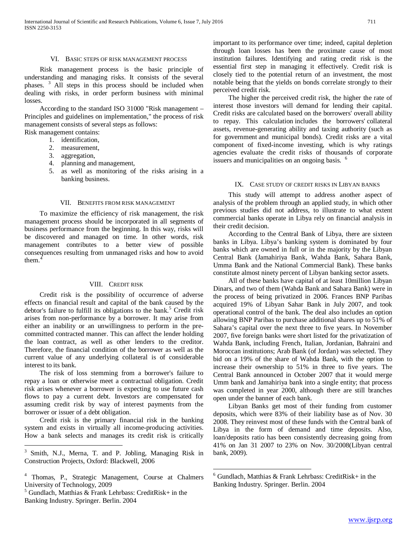## VI. BASIC STEPS OF RISK MANAGEMENT PROCESS

 Risk management process is the basic principle of understanding and managing risks. It consists of the several phases. [3](#page-0-2) All steps in this process should be included when dealing with risks, in order perform business with minimal losses.

 According to the standard ISO 31000 "Risk management – Principles and guidelines on implementation," the process of risk management consists of several steps as follows:

Risk management contains:

- 1. identification,
- 2. measurement,
- 3. aggregation,
- 4. planning and management,
- 5. as well as monitoring of the risks arising in a banking business.

#### VII. BENEFITS FROM RISK MANAGEMENT

 To maximize the efficiency of risk management, the risk management process should be incorporated in all segments of business performance from the beginning. In this way, risks will be discovered and managed on time. In other words, risk management contributes to a better view of possible consequences resulting from unmanaged risks and how to avoid them.

# VIII. CREDIT RISK

 Credit risk is the possibility of occurrence of adverse effects on financial result and capital of the bank caused by the debtor's failure to fulfill its obligations to the bank.<sup>[5](#page-1-1)</sup> Credit risk arises from non-performance by a borrower. It may arise from either an inability or an unwillingness to perform in the precommitted contracted manner. This can affect the lender holding the loan contract, as well as other lenders to the creditor. Therefore, the financial condition of the borrower as well as the current value of any underlying collateral is of considerable interest to its bank.

 The risk of loss stemming from a borrower's failure to repay a loan or otherwise meet a contractual obligation. Credit risk arises whenever a borrower is expecting to use future cash flows to pay a current debt. Investors are compensated for assuming credit risk by way of interest payments from the borrower or issuer of a debt obligation.

 Credit risk is the primary financial risk in the banking system and exists in virtually all income-producing activities. How a bank selects and manages its credit risk is critically

<span id="page-1-1"></span>Banking Industry. Springer. Berlin. 2004

important to its performance over time; indeed, capital depletion through loan losses has been the proximate cause of most institution failures. Identifying and rating credit risk is the essential first step in managing it effectively. Credit risk is closely tied to the potential return of an investment, the most notable being that the yields on bonds correlate strongly to their perceived credit risk.

 The higher the perceived credit risk, the higher the rate of interest those investors will demand for lending their capital. Credit risks are calculated based on the borrowers' overall ability to repay. This calculation includes the borrowers' collateral assets, revenue-generating ability and taxing authority (such as for government and municipal bonds). Credit risks are a vital component of fixed-income investing, which is why ratings agencies evaluate the credit risks of thousands of corporate issuers and municipalities on an ongoing basis. <sup>[6](#page-1-0)</sup>

## IX. CASE STUDY OF CREDIT RISKS IN LIBYAN BANKS

 This study will attempt to address another aspect of analysis of the problem through an applied study, in which other previous studies did not address, to illustrate to what extent commercial banks operate in Libya rely on financial analysis in their credit decision.

 According to the Central Bank of Libya, there are sixteen banks in Libya. Libya's banking system is dominated by four banks which are owned in full or in the majority by the Libyan Central Bank (Jamahiriya Bank, Wahda Bank, Sahara Bank, Umma Bank and the National Commercial Bank). These banks constitute almost ninety percent of Libyan banking sector assets.

 All of these banks have capital of at least 10million Libyan Dinars, and two of them (Wahda Bank and Sahara Bank) were in the process of being privatized in 2006. Frances BNP Paribas acquired 19% of Libyan Sahar Bank in July 2007, and took operational control of the bank. The deal also includes an option allowing BNP Paribas to purchase additional shares up to 51% of Sahara's capital over the next three to five years. In November 2007, five foreign banks were short listed for the privatization of Wahda Bank, including French, Italian, Jordanian, Bahraini and Moroccan institutions; Arab Bank (of Jordan) was selected. They bid on a 19% of the share of Wahda Bank, with the option to increase their ownership to 51% in three to five years. The Central Bank announced in October 2007 that it would merge Umm bank and Jamahiriya bank into a single entity; that process was completed in year 2000, although there are still branches open under the banner of each bank.

 Libyan Banks get most of their funding from customer deposits, which were 83% of their liability base as of Nov. 30 2008. They reinvest most of these funds with the Central bank of Libya in the form of demand and time deposits. Also, loan/deposits ratio has been consistently decreasing going from 41% on Jan 31 2007 to 23% on Nov. 30/2008(Libyan central bank, 2009).

 <sup>3</sup> Smith, N.J., Merna, T. and P. Jobling, Managing Risk in Construction Projects, Oxford: Blackwell, 2006

<span id="page-1-0"></span><sup>4</sup> Thomas, P., Strategic Management, Course at Chalmers University of Technology, 2009<br>  $^5$  Gundlach, Matthias & Frank Lehrbass: CreditRisk+ in the

 $6$  Gundlach, Matthias & Frank Lehrbass: CreditRisk+ in the Banking Industry. Springer. Berlin. 2004